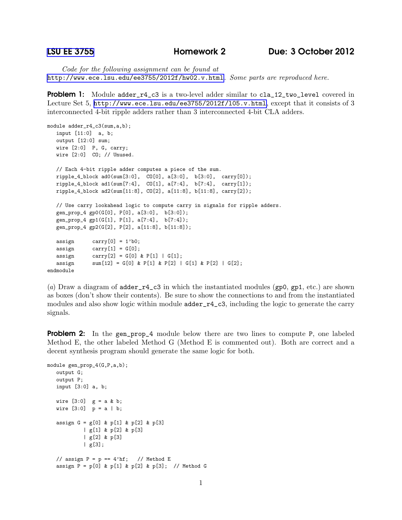*Code for the following assignment can be found at* <http://www.ece.lsu.edu/ee3755/2012f/hw02.v.html>*. Some parts are reproduced here.*

**Problem 1:** Module adder\_r4\_c3 is a two-level adder similar to cla\_12\_two\_level covered in Lecture Set 5, <http://www.ece.lsu.edu/ee3755/2012f/l05.v.html>, except that it consists of 3 interconnected 4-bit ripple adders rather than 3 interconnected 4-bit CLA adders.

```
module adder_r4_c3(sum,a,b);
input [11:0] a, b;
output [12:0] sum;
wire [2:0] P, G, carry;
wire [2:0] CO; // Unused.
// Each 4-bit ripple adder computes a piece of the sum.
ripple_4_block ad0(sum[3:0], CO[0], a[3:0], b[3:0], carry[0]);
ripple_4_block ad1(sum[7:4], CO[1], a[7:4], b[7:4], carry[1]);
ripple_4_block ad2(sum[11:8], CO[2], a[11:8], b[11:8], carry[2]);
// Use carry lookahead logic to compute carry in signals for ripple adders.
gen_prop_4 gp0(G[0], P[0], a[3:0], b[3:0]);
gen_prop_4 gp1(G[1], P[1], a[7:4], b[7:4]);
gen_prop_4 gp2(G[2], P[2], a[11:8], b[11:8]);
assign carry[0] = 1'b0;
assign carry[1] = G[0];assign carry[2] = G[0] & P[1] | G[1];
assign sum[12] = G[0] & P[1] & P[2] | G[1] & P[2] | G[2];endmodule
```
(*a*) Draw a diagram of adder\_r4\_c3 in which the instantiated modules (gp0, gp1, etc.) are shown as boxes (don't show their contents). Be sure to show the connections to and from the instantiated modules and also show logic within module  $\texttt{adder\_r4\_c3}$ , including the logic to generate the carry signals.

**Problem 2:** In the gen\_prop\_4 module below there are two lines to compute P, one labeled Method E, the other labeled Method G (Method E is commented out). Both are correct and a decent synthesis program should generate the same logic for both.

```
module gen_prop_4(G,P,a,b);
output G;
output P;
input [3:0] a, b;
wire [3:0] g = a & b;
wire [3:0] p = a | b;assign G = g[0] & p[1] & p[2] & p[3]
         | g[1] & p[2] & p[3]
          | g[2] & p[3]
          | g[3];
// assign P = p == 4'hf; // Method E
assign P = p[0] & p[1] & p[2] & p[3]; // Method G
```